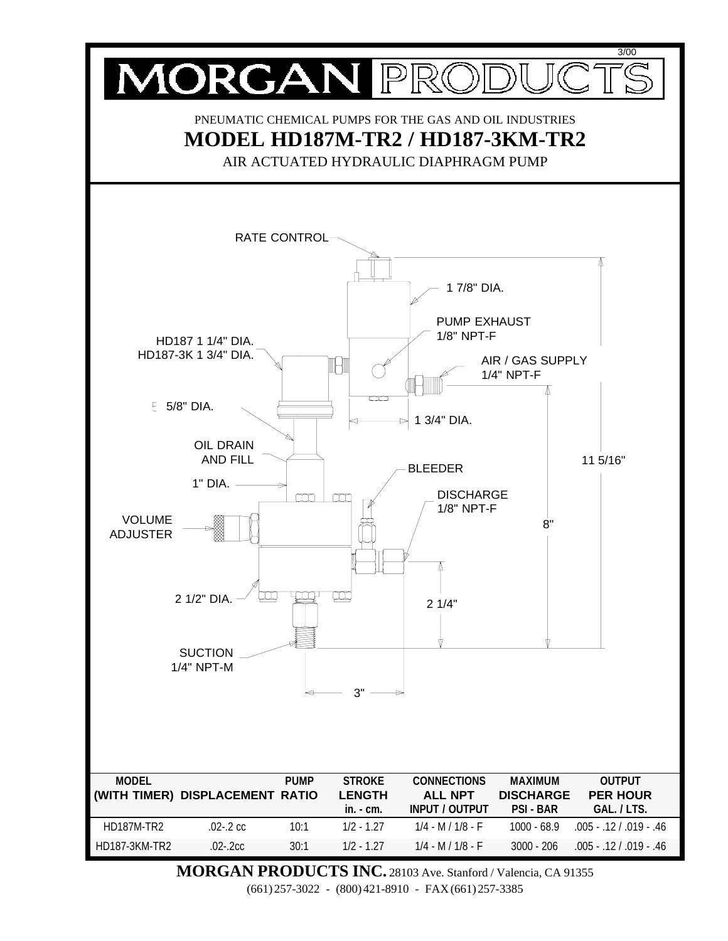

**MORGAN PRODUCTS INC.** 28103 Ave. Stanford / Valencia, CA 91355 (661) 257-3022 - (800) 421-8910 - FAX (661) 257-3385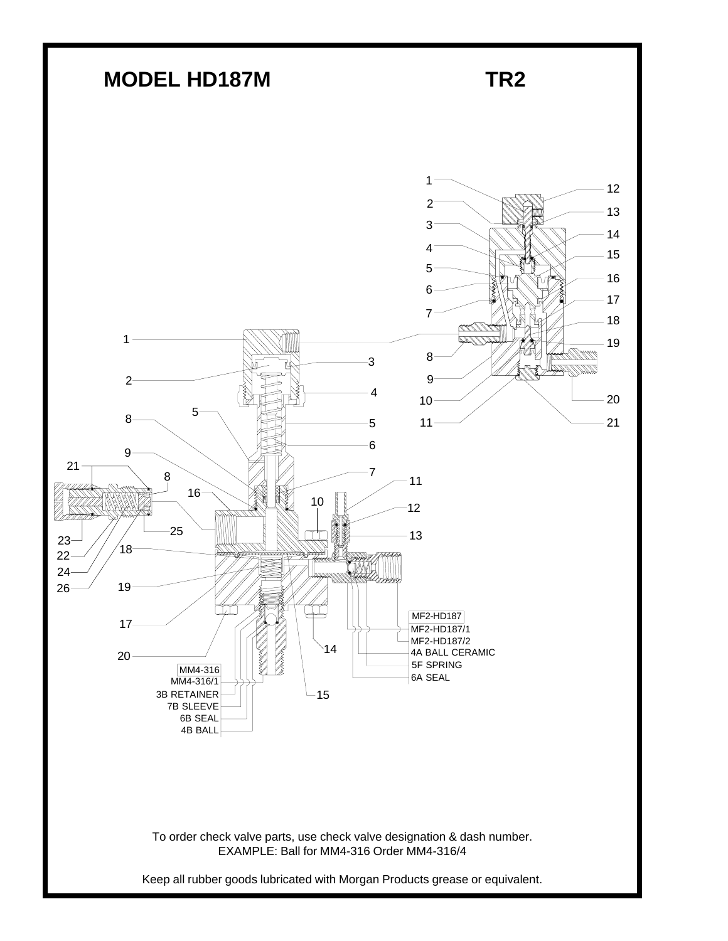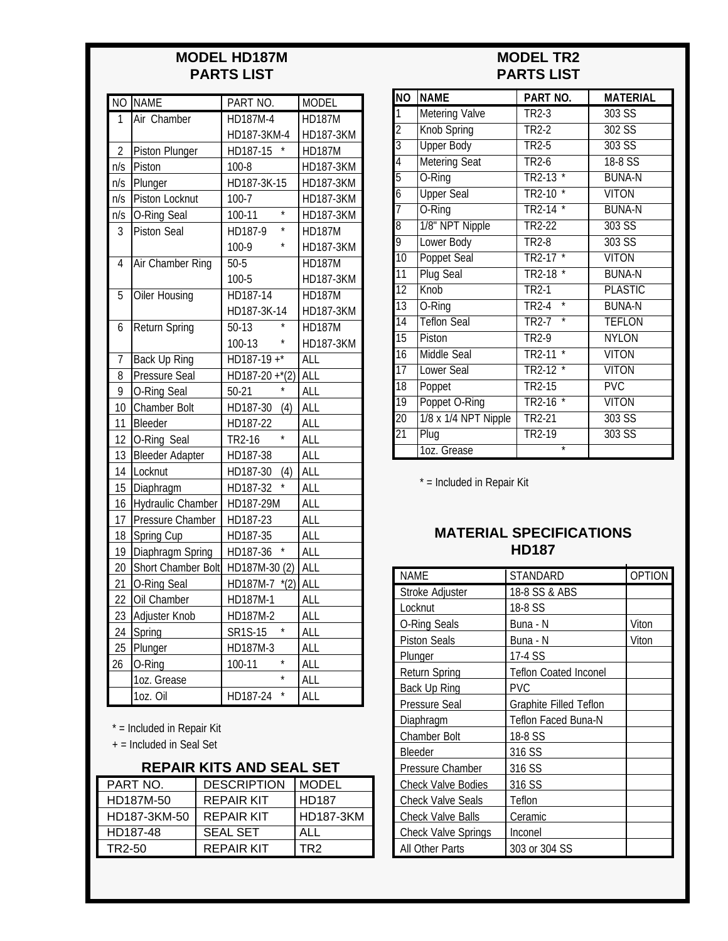## **MODEL HD187M PARTS LIST**

| $\overline{NO}$ | <b>NAME</b>              | PART NO.                    | <b>MODEL</b>     |
|-----------------|--------------------------|-----------------------------|------------------|
| 1               | Air Chamber              | HD187M-4                    | <b>HD187M</b>    |
|                 |                          | HD187-3KM-4                 | HD187-3KM        |
| $\overline{2}$  | <b>Piston Plunger</b>    | HD187-15                    | <b>HD187M</b>    |
| n/s             | Piston                   | 100-8                       | <b>HD187-3KM</b> |
| n/s             | Plunger                  | HD187-3K-15                 | <b>HD187-3KM</b> |
| n/s             | Piston Locknut           | $100 - 7$                   | <b>HD187-3KM</b> |
| n/s             | O-Ring Seal              | $\star$<br>100-11           | <b>HD187-3KM</b> |
| 3               | <b>Piston Seal</b>       | HD187-9                     | <b>HD187M</b>    |
|                 |                          | 100-9                       | HD187-3KM        |
| 4               | <b>Air Chamber Ring</b>  | $50 - 5$                    | <b>HD187M</b>    |
|                 |                          | 100-5                       | HD187-3KM        |
| $\overline{5}$  | <b>Oiler Housing</b>     | HD187-14                    | <b>HD187M</b>    |
|                 |                          | HD187-3K-14                 | <b>HD187-3KM</b> |
| 6               | <b>Return Spring</b>     | $50-13$                     | <b>HD187M</b>    |
|                 |                          | 100-13                      | HD187-3KM        |
| $\overline{1}$  | <b>Back Up Ring</b>      | $HD187-19+*$                | <b>ALL</b>       |
| 8               | Pressure Seal            | $\overline{HD187-20+^*(2)}$ | <b>ALL</b>       |
| 9               | O-Ring Seal              | $50-21$                     | ALL              |
| 10              | Chamber Bolt             | HD187-30<br>(4)             | ALL              |
| 11              | Bleeder                  | HD187-22                    | <b>ALL</b>       |
| 12              | O-Ring Seal              | $\star$<br>TR2-16           | <b>ALL</b>       |
| 13              | <b>Bleeder Adapter</b>   | HD187-38                    | <b>ALL</b>       |
| 14              | Locknut                  | HD187-30<br>(4)             | <b>ALL</b>       |
| 15              | Diaphragm                | HD187-32                    | <b>ALL</b>       |
| 16              | <b>Hydraulic Chamber</b> | HD187-29M                   | <b>ALL</b>       |
| 17              | Pressure Chamber         | HD187-23                    | ALL              |
| 18              | Spring Cup               | HD187-35                    | <b>ALL</b>       |
| 19              | Diaphragm Spring         | HD187-36                    | ALL              |
| 20              | Short Chamber Bolt       | HD187M-30 (2)               | <b>ALL</b>       |
| 21              | O-Ring Seal              | HD187M-7 *(2)               | <b>ALL</b>       |
| 22              | Oil Chamber              | HD187M-1                    | <b>ALL</b>       |
| 23              | Adjuster Knob            | HD187M-2                    | <b>ALL</b>       |
| 24              | Spring                   | $\star$<br>SR1S-15          | <b>ALL</b>       |
| 25              | Plunger                  | HD187M-3                    | <b>ALL</b>       |
| 26              | O-Ring                   | $\star$<br>100-11           | <b>ALL</b>       |
|                 | 1oz. Grease              |                             | <b>ALL</b>       |
|                 | 1oz. Oil                 | HD187-24                    | ALL              |

\* = Included in Repair Kit

+ = Included in Seal Set

## **REPAIR KITS AND SEAL SET**

| PART NO.     | <b>DESCRIPTION</b> | <b>MODEL</b>     |
|--------------|--------------------|------------------|
| HD187M-50    | REPAIR KIT         | <b>HD187</b>     |
| HD187-3KM-50 | REPAIR KIT         | <b>HD187-3KM</b> |
| HD187-48     | <b>SEAL SET</b>    | ALL              |
| TR2-50       | REPAIR KIT         | TR2              |

# **MODEL TR2 PARTS LIST**

| $\overline{NO}$ | <b>NAME</b>          | PART NO.                                | <b>MATERIAL</b> |
|-----------------|----------------------|-----------------------------------------|-----------------|
| 1               | Metering Valve       | TR2-3                                   | 303 SS          |
| $\overline{2}$  | <b>Knob Spring</b>   | TR2-2                                   | 302 SS          |
| $\overline{3}$  | <b>Upper Body</b>    | TR2-5                                   | $303$ SS        |
| $\overline{4}$  | <b>Metering Seat</b> | <b>TR2-6</b>                            | 18-8 SS         |
| $\overline{5}$  | O-Ring               | $\star$<br>TR2-13                       | <b>BUNA-N</b>   |
| $\overline{6}$  | <b>Upper Seal</b>    | TR2-10                                  | <b>VITON</b>    |
| $\overline{7}$  | O-Ring               | <b>TR2-14</b>                           | <b>BUNA-N</b>   |
| $\overline{8}$  | 1/8" NPT Nipple      | TR2-22                                  | 303 SS          |
| 9               | Lower Body           | TR2-8                                   | 303 SS          |
| $\overline{10}$ | <b>Poppet Seal</b>   | TR2-17                                  | <b>VITON</b>    |
| $\overline{11}$ | <b>Plug Seal</b>     | <b>TR2-18</b>                           | <b>BUNA-N</b>   |
| $\overline{12}$ | <b>Knob</b>          | $TR2-1$                                 | <b>PLASTIC</b>  |
| $\overline{13}$ | O-Ring               | $\overline{\ast}$<br>TR2-4              | <b>BUNA-N</b>   |
| $\overline{14}$ | <b>Teflon Seal</b>   | $\overline{\ast}$<br>TR <sub>2</sub> -7 | <b>TEFLON</b>   |
| $\overline{15}$ | Piston               | TR2-9                                   | NYI ON          |
| $\overline{16}$ | <b>Middle Seal</b>   | TR <sub>2</sub> -11                     | <b>VITON</b>    |
| $\overline{17}$ | <b>Lower Seal</b>    | $\overline{\ast}$<br>$TR2-12$           | <b>VITON</b>    |
| $\overline{18}$ | Poppet               | <b>TR2-15</b>                           | PVC             |
| $\overline{19}$ | Poppet O-Ring        | $\star$<br>TR2-16                       | <b>VITON</b>    |
| $\overline{20}$ | 1/8 x 1/4 NPT Nipple | <b>TR2-21</b>                           | 303 SS          |
| $\overline{21}$ | Plug                 | TR2-19                                  | 303 SS          |
|                 | 1oz. Grease          | $\star$                                 |                 |

\* = Included in Repair Kit

#### **MATERIAL SPECIFICATIONS HD187**

| <b>NAME</b>                | STANDARD                      | <b>OPTION</b> |
|----------------------------|-------------------------------|---------------|
| Stroke Adjuster            | 18-8 SS & ABS                 |               |
| Locknut                    | 18-8 SS                       |               |
| <b>O-Ring Seals</b>        | Buna - N                      | Viton         |
| <b>Piston Seals</b>        | Buna - N                      | Viton         |
| Plunger                    | 17-4 SS                       |               |
| <b>Return Spring</b>       | <b>Teflon Coated Inconel</b>  |               |
| Back Up Ring               | <b>PVC</b>                    |               |
| Pressure Seal              | <b>Graphite Filled Teflon</b> |               |
| Diaphragm                  | <b>Teflon Faced Buna-N</b>    |               |
| <b>Chamber Bolt</b>        | 18-8 SS                       |               |
| <b>Bleeder</b>             | 316 SS                        |               |
| Pressure Chamber           | 316 SS                        |               |
| <b>Check Valve Bodies</b>  | 316 SS                        |               |
| <b>Check Valve Seals</b>   | Teflon                        |               |
| <b>Check Valve Balls</b>   | Ceramic                       |               |
| <b>Check Valve Springs</b> | Inconel                       |               |
| All Other Parts            | 303 or 304 SS                 |               |